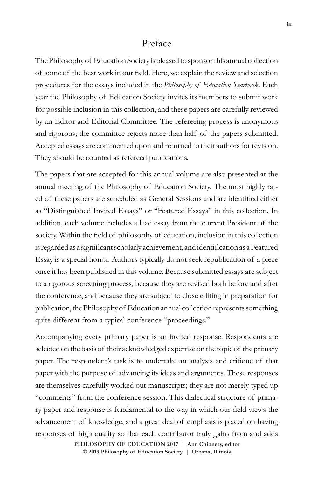## Preface

The Philosophy of Education Society is pleased to sponsor this annual collection of some of the best work in our field. Here, we explain the review and selection procedures for the essays included in the *Philosophy of Education Yearbook*. Each year the Philosophy of Education Society invites its members to submit work for possible inclusion in this collection, and these papers are carefully reviewed by an Editor and Editorial Committee. The refereeing process is anonymous and rigorous; the committee rejects more than half of the papers submitted. Accepted essays are commented upon and returned to their authors for revision. They should be counted as refereed publications.

The papers that are accepted for this annual volume are also presented at the annual meeting of the Philosophy of Education Society. The most highly rated of these papers are scheduled as General Sessions and are identified either as "Distinguished Invited Essays" or "Featured Essays" in this collection. In addition, each volume includes a lead essay from the current President of the society. Within the field of philosophy of education, inclusion in this collection is regarded as a significant scholarly achievement, and identification as a Featured Essay is a special honor. Authors typically do not seek republication of a piece once it has been published in this volume. Because submitted essays are subject to a rigorous screening process, because they are revised both before and after the conference, and because they are subject to close editing in preparation for publication, the Philosophy of Education annual collection represents something quite different from a typical conference "proceedings."

Accompanying every primary paper is an invited response. Respondents are selected on the basis of their acknowledged expertise on the topic of the primary paper. The respondent's task is to undertake an analysis and critique of that paper with the purpose of advancing its ideas and arguments. These responses are themselves carefully worked out manuscripts; they are not merely typed up "comments" from the conference session. This dialectical structure of primary paper and response is fundamental to the way in which our field views the advancement of knowledge, and a great deal of emphasis is placed on having responses of high quality so that each contributor truly gains from and adds

> © 2019 Philosophy of Education Society | Urbana, Illinois **PHILOSOPHY OF EDUCATION 2017 | Ann Chinnery, editor**